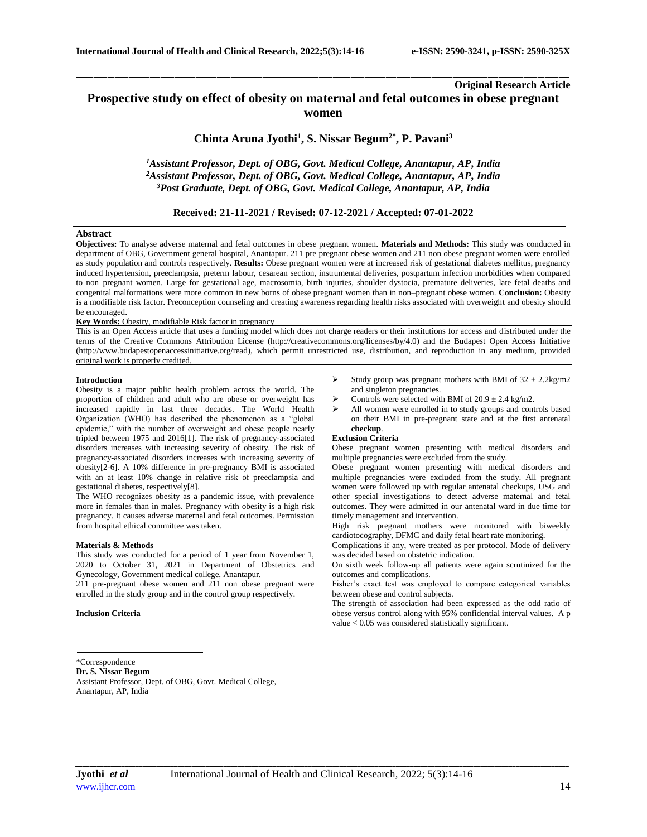# **Original Research Article**

# **Prospective study on effect of obesity on maternal and fetal outcomes in obese pregnant women**

\_\_\_\_\_\_\_\_\_\_\_\_\_\_\_\_\_\_\_\_\_\_\_\_\_\_\_\_\_\_\_\_\_\_\_\_\_\_\_\_\_\_\_\_\_\_\_\_\_\_\_\_\_\_\_\_\_\_\_\_\_\_\_\_\_\_\_\_\_\_\_\_\_\_\_\_\_\_\_\_\_\_\_\_\_\_\_\_\_\_\_\_\_\_\_\_\_\_\_\_\_\_\_\_\_\_\_\_\_\_\_\_\_\_\_\_\_\_\_\_\_\_\_\_\_\_\_\_\_\_\_\_\_\_\_\_\_\_\_\_

**Chinta Aruna Jyothi<sup>1</sup> , S. Nissar Begum2\* , P. Pavani<sup>3</sup>**

*<sup>1</sup>Assistant Professor, Dept. of OBG, Govt. Medical College, Anantapur, AP, India <sup>2</sup>Assistant Professor, Dept. of OBG, Govt. Medical College, Anantapur, AP, India <sup>3</sup>Post Graduate, Dept. of OBG, Govt. Medical College, Anantapur, AP, India*

# **Received: 21-11-2021 / Revised: 07-12-2021 / Accepted: 07-01-2022**

### **Abstract**

**Objectives:** To analyse adverse maternal and fetal outcomes in obese pregnant women. **Materials and Methods:** This study was conducted in department of OBG, Government general hospital, Anantapur. 211 pre pregnant obese women and 211 non obese pregnant women were enrolled as study population and controls respectively. **Results:** Obese pregnant women were at increased risk of gestational diabetes mellitus, pregnancy induced hypertension, preeclampsia, preterm labour, cesarean section, instrumental deliveries, postpartum infection morbidities when compared to non–pregnant women. Large for gestational age, macrosomia, birth injuries, shoulder dystocia, premature deliveries, late fetal deaths and congenital malformations were more common in new borns of obese pregnant women than in non–pregnant obese women. **Conclusion:** Obesity is a modifiable risk factor. Preconception counseling and creating awareness regarding health risks associated with overweight and obesity should be encouraged.

### **Key Words:** Obesity, modifiable Risk factor in pregnancy

This is an Open Access article that uses a funding model which does not charge readers or their institutions for access and distributed under the terms of the Creative Commons Attribution License (http://creativecommons.org/licenses/by/4.0) and the Budapest Open Access Initiative (http://www.budapestopenaccessinitiative.org/read), which permit unrestricted use, distribution, and reproduction in any medium, provided original work is properly credited.

### **Introduction**

Obesity is a major public health problem across the world. The proportion of children and adult who are obese or overweight has increased rapidly in last three decades. The World Health Organization (WHO) has described the phenomenon as a "global epidemic," with the number of overweight and obese people nearly tripled between 1975 and 2016[1]. The risk of pregnancy-associated disorders increases with increasing severity of obesity. The risk of pregnancy-associated disorders increases with increasing severity of obesity[2-6]. A 10% difference in pre-pregnancy BMI is associated with an at least 10% change in relative risk of preeclampsia and gestational diabetes, respectively[8].

The WHO recognizes obesity as a pandemic issue, with prevalence more in females than in males. Pregnancy with obesity is a high risk pregnancy. It causes adverse maternal and fetal outcomes. Permission from hospital ethical committee was taken.

#### **Materials & Methods**

This study was conducted for a period of 1 year from November 1, 2020 to October 31, 2021 in Department of Obstetrics and Gynecology, Government medical college, Anantapur.

211 pre-pregnant obese women and 211 non obese pregnant were enrolled in the study group and in the control group respectively.

### **Inclusion Criteria**

Study group was pregnant mothers with BMI of  $32 \pm 2.2$ kg/m2 and singleton pregnancies.

- Controls were selected with BMI of  $20.9 \pm 2.4$  kg/m2.
- All women were enrolled in to study groups and controls based on their BMI in pre-pregnant state and at the first antenatal **checkup**.

### **Exclusion Criteria**

Obese pregnant women presenting with medical disorders and multiple pregnancies were excluded from the study.

Obese pregnant women presenting with medical disorders and multiple pregnancies were excluded from the study. All pregnant women were followed up with regular antenatal checkups, USG and other special investigations to detect adverse maternal and fetal outcomes. They were admitted in our antenatal ward in due time for timely management and intervention.

High risk pregnant mothers were monitored with biweekly cardiotocography, DFMC and daily fetal heart rate monitoring.

Complications if any, were treated as per protocol. Mode of delivery was decided based on obstetric indication.

On sixth week follow-up all patients were again scrutinized for the outcomes and complications.

Fisher's exact test was employed to compare categorical variables between obese and control subjects.

The strength of association had been expressed as the odd ratio of obese versus control along with 95% confidential interval values. A p value < 0.05 was considered statistically significant.

Assistant Professor, Dept. of OBG, Govt. Medical College, Anantapur, AP, India

<sup>\*</sup>Correspondence **Dr. S. Nissar Begum**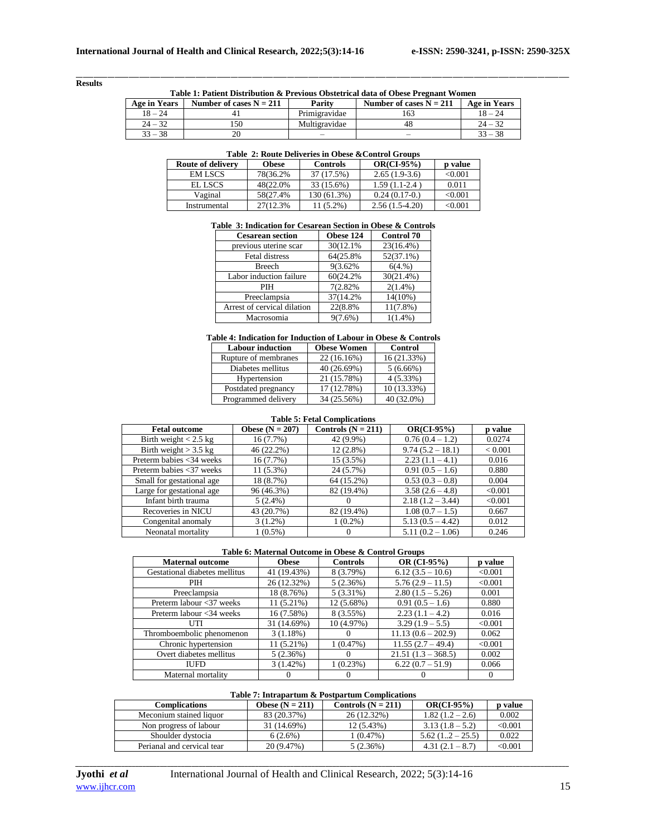### **Results**

\_\_\_\_\_\_\_\_\_\_\_\_\_\_\_\_\_\_\_\_\_\_\_\_\_\_\_\_\_\_\_\_\_\_\_\_\_\_\_\_\_\_\_\_\_\_\_\_\_\_\_\_\_\_\_\_\_\_\_\_\_\_\_\_\_\_\_\_\_\_\_\_\_\_\_\_\_\_\_\_\_\_\_\_\_\_\_\_\_\_\_\_\_\_\_\_\_\_\_\_\_\_\_\_\_\_\_\_\_\_\_\_\_\_\_\_\_\_\_\_\_\_\_\_\_\_\_\_\_\_\_\_\_\_\_\_\_\_\_\_ **Table 1: Patient Distribution & Previous Obstetrical data of Obese Pregnant Women**

| Age in Years | Number of cases $N = 211$ | Parity        | Number of cases $N = 211$ | Age in Years |
|--------------|---------------------------|---------------|---------------------------|--------------|
| $18 - 24$    |                           | Primigravidae | 163                       | $18 - 24$    |
| $24 - 32$    | 150                       | Multigravidae |                           | $24 - 32$    |
| $33 - 38$    |                           |               |                           | $33 - 38$    |

# **Table 2: Route Deliveries in Obese &Control Groups**

| <b>Route of delivery</b> | <b>Obese</b> | <b>Controls</b> | $OR(Cl-95%)$     | p value      |
|--------------------------|--------------|-----------------|------------------|--------------|
| <b>EMISCS</b>            | 78(36.2%)    | 37 (17.5%)      | $2.65(1.9-3.6)$  | < 0.001      |
| EL LSCS                  | 48(22.0%)    | 33 (15.6%)      | $1.59(1.1-2.4)$  | 0.011        |
| Vaginal                  | 58(27.4%)    | 130 (61.3%)     | $0.24(0.17-0.)$  | $<\!\!0.001$ |
| Instrumental             | 27(12.3%)    | $1(5.2\%)$      | $2.56(1.5-4.20)$ | $<\!\!0.001$ |

# **Table 3: Indication for Cesarean Section in Obese & Controls**

| <b>Cesarean section</b>     | Obese 124  | <b>Control 70</b> |
|-----------------------------|------------|-------------------|
| previous uterine scar       | 30(12.1%)  | 23(16.4%)         |
| <b>Fetal distress</b>       | 64(25.8%)  | $52(37.1\%)$      |
| Breech                      | 9(3.62%)   | 6(4.%)            |
| Labor induction failure     | 60(24.2%)  | 30(21.4%)         |
| PIH                         | 7(2.82%)   | $2(1.4\%)$        |
| Preeclampsia                | 37(14.2%)  | $14(10\%)$        |
| Arrest of cervical dilation | 22(8.8%)   | $11(7.8\%)$       |
| Macrosomia                  | $9(7.6\%)$ | $1(1.4\%)$        |

#### **Table 4: Indication for Induction of Labour in Obese & Controls**

| <b>Labour induction</b> | <b>Obese Women</b> | <b>Control</b> |
|-------------------------|--------------------|----------------|
| Rupture of membranes    | 22(16.16%)         | 16 (21.33%)    |
| Diabetes mellitus       | 40 (26.69%)        | $5(6.66\%)$    |
| Hypertension            | 21 (15.78%)        | 4(5.33%)       |
| Postdated pregnancy     | 17 (12.78%)        | 10 (13.33%)    |
| Programmed delivery     | 34 (25.56%)        | 40 (32.0%)     |

# **Table 5: Fetal Complications**

| <b>Fetal outcome</b>      | Obese $(N = 207)$ | Controls $(N = 211)$ | $OR(Cl-95%)$       | p value        |
|---------------------------|-------------------|----------------------|--------------------|----------------|
| Birth weight $< 2.5$ kg   | 16(7.7%)          | 42 (9.9%)            | $0.76(0.4 - 1.2)$  | 0.0274         |
| Birth weight $>$ 3.5 kg   | 46 (22.2%)        | $12(2.8\%)$          | $9.74(5.2 - 18.1)$ | ${}_{< 0.001}$ |
| Preterm babies <34 weeks  | 16(7.7%)          | 15 (3.5%)            | $2.23(1.1-4.1)$    | 0.016          |
| Preterm babies <37 weeks  | $11(5.3\%)$       | 24 (5.7%)            | $0.91(0.5-1.6)$    | 0.880          |
| Small for gestational age | 18 (8.7%)         | 64 (15.2%)           | $0.53(0.3-0.8)$    | 0.004          |
| Large for gestational age | 96 (46.3%)        | 82 (19.4%)           | $3.58(2.6 - 4.8)$  | < 0.001        |
| Infant birth trauma       | $5(2.4\%)$        | $\Omega$             | $2.18(1.2 - 3.44)$ | < 0.001        |
| Recoveries in NICU        | 43 (20.7%)        | 82 (19.4%)           | $1.08(0.7 - 1.5)$  | 0.667          |
| Congenital anomaly        | $3(1.2\%)$        | $1(0.2\%)$           | $5.13(0.5 - 4.42)$ | 0.012          |
| Neonatal mortality        | $1(0.5\%)$        | $\Omega$             | $5.11(0.2 - 1.06)$ | 0.246          |

### **Table 6: Maternal Outcome in Obese & Control Groups**

| <b>Maternal outcome</b>       | <b>Obese</b> | <b>Controls</b> | OR (CI-95%)          | p value |
|-------------------------------|--------------|-----------------|----------------------|---------|
| Gestational diabetes mellitus | 41 (19.43%)  | 8 (3.79%)       | $6.12(3.5-10.6)$     | < 0.001 |
| <b>PIH</b>                    | 26 (12.32%)  | 5(2.36%)        | $5.76(2.9 - 11.5)$   | < 0.001 |
| Preeclampsia                  | 18 (8.76%)   | $5(3.31\%)$     | $2.80(1.5-5.26)$     | 0.001   |
| Preterm labour <37 weeks      | $11(5.21\%)$ | 12 (5.68%)      | $0.91(0.5 - 1.6)$    | 0.880   |
| Preterm labour <34 weeks      | 16(7.58%)    | 8 (3.55%)       | $2.23(1.1-4.2)$      | 0.016   |
| UTI                           | 31 (14.69%)  | 10(4.97%)       | $3.29(1.9-5.5)$      | < 0.001 |
| Thromboembolic phenomenon     | 3(1.18%)     |                 | $11.13(0.6 - 202.9)$ | 0.062   |
| Chronic hypertension          | $11(5.21\%)$ | 1(0.47%)        | $11.55(2.7 - 49.4)$  | < 0.001 |
| Overt diabetes mellitus       | 5(2.36%)     | $\theta$        | $21.51(1.3 - 368.5)$ | 0.002   |
| <b>IUFD</b>                   | $3(1.42\%)$  | 1(0.23%)        | $6.22(0.7-51.9)$     | 0.066   |
| Maternal mortality            |              |                 |                      |         |

### **Table 7: Intrapartum & Postpartum Complications**

| Complications              | Obese $(N = 211)$ | Controls $(N = 211)$ | $OR(Cl-95%)$      | <b>p</b> value |
|----------------------------|-------------------|----------------------|-------------------|----------------|
| Meconium stained liquor    | 83 (20.37%)       | 26 (12.32%)          | $1.82(1.2-2.6)$   | 0.002          |
| Non progress of labour     | 31 (14.69%)       | 12 (5.43%)           | $3.13(1.8-5.2)$   | $< \!\! 0.001$ |
| Shoulder dystocia          | $6(2.6\%)$        | 1 (0.47%)            | $5.62(12-25.5)$   | 0.022          |
| Perianal and cervical tear | 20 (9.47%)        | 5 (2.36%)            | $4.31(2.1 - 8.7)$ | $<\!\!0.001$   |